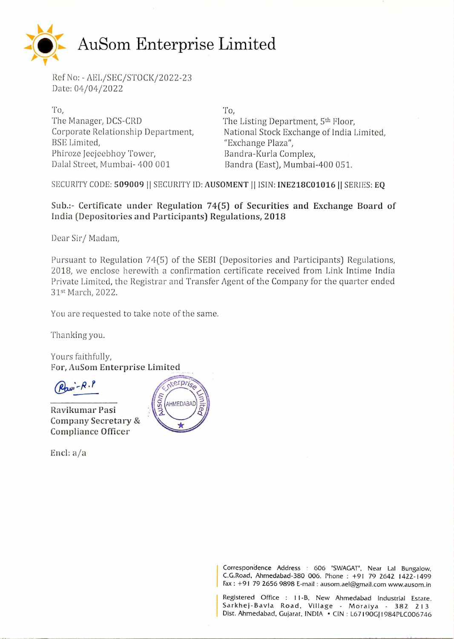

Ref No: - AEL/SEC/STOCK/2022-23 Date: 04/04/2022

To, The Manager, DCS-CRD Corporate Relationship Department, BSE Limited, Phiroze Jeejeebhoy Tower, Dalal Street, Mumbai- 400 001

To,

The Listing Department, 5<sup>th</sup> Floor, National Stock Exchange of India Limited, "Exchange Plaza", Bandra-Kurla Complex, Bandra (East), Mumbai-400 051.

SECURITY CODE: **509009** II SECURITY ID: **AUSOMENT** II !SIN: **INE218C01016II** SERIES: **EQ** 

## **Sub.:- Certificate under Regulation 74(5) of Securities and Exchange Board of India (Depositories and Participants) Regulations, 2018**

Dear Sir/Madam,

Pursuant to Regulation 74(5) of the SEBI (Depositories and Participants) Regulations, 2018, we enclose herewith a confirmation certificate received from Link Intime India Private Limited, the Registrar and Transfer Agent of the Company for the quarter ended 31sr March, 2022.

You are requested to take note of the same.

Thanking you.

Yours faithfully, For, AuSom Enterprise Limited

 $\mathbb{R}$  - P  $\cdot$  P

**Ravikumar Pasi Company Secretary** & **Compliance Officer** 

**Encl:** *aja* 



Correspondence Address : 606 "SWAGAT", Near Lal Bungalow, C.G.Road, Ahmedabad-380 006. Phone : +91 79 2642 1422-1499 Fax : +91 79 2656 9898 E-mail : ausom.ael@gmail.com www.ausom.in

Registered Office : I 1-B. New Ahmedabad Industrial Estate. Sarkhej-Bavla Road, Village - Moraiya - 382 213 Dist. Ahmedabad, Gujarat, INDIA • CIN : L67190GJ1984PLC006746